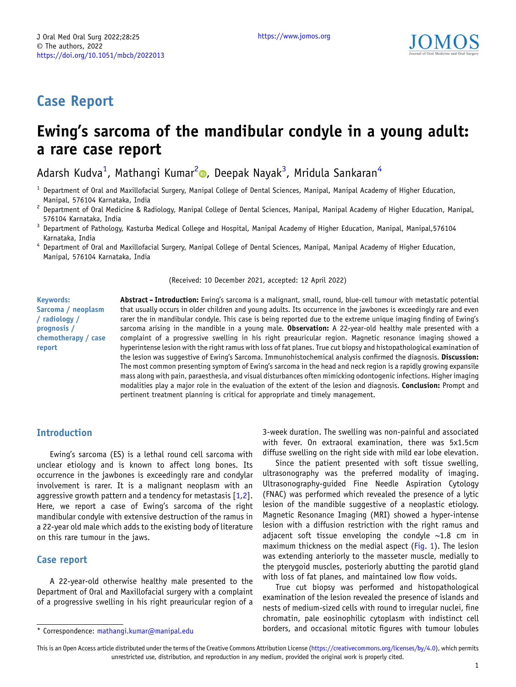## Case Report

# Ewing's sarcoma of the mandibular condyle in a young adult: a rare case report

Adarsh Kudva<sup>1</sup>[, Mathangi Kumar](https://orcid.org/)<sup>2</sup>©[,](https://orcid.org/0000-0003-1245-2314) Deepak Nayak<sup>3</sup>, Mridula Sankaran<sup>4</sup>

- <sup>1</sup> Department of Oral and Maxillofacial Surgery, Manipal College of Dental Sciences, Manipal, Manipal Academy of Higher Education,
- Manipal, 576104 Karnataka, India<br><sup>2</sup> Department of Oral Medicine & Radiology, Manipal College of Dental Sciences, Manipal, Manipal Academy of Higher Education, Manipal,
- 576104 Karnataka, India<br><sup>3</sup> Department of Pathology, Kasturba Medical College and Hospital, Manipal Academy of Higher Education, Manipal, Manipal,576104
- Karnataka, India <sup>4</sup> Department of Oral and Maxillofacial Surgery, Manipal College of Dental Sciences, Manipal, Manipal Academy of Higher Education, Manipal, 576104 Karnataka, India

(Received: 10 December 2021, accepted: 12 April 2022)

Keywords: Sarcoma / neoplasm / radiology / prognosis / chemotherapy / case report

Abstract - Introduction: Ewing's sarcoma is a malignant, small, round, blue-cell tumour with metastatic potential that usually occurs in older children and young adults. Its occurrence in the jawbones is exceedingly rare and even rarer the in mandibular condyle. This case is being reported due to the extreme unique imaging finding of Ewing's sarcoma arising in the mandible in a young male. Observation: A 22-year-old healthy male presented with a complaint of a progressive swelling in his right preauricular region. Magnetic resonance imaging showed a hyperintense lesion with the right ramus with loss of fat planes. True cut biopsy and histopathological examination of the lesion was suggestive of Ewing's Sarcoma. Immunohistochemical analysis confirmed the diagnosis. Discussion: The most common presenting symptom of Ewing's sarcoma in the head and neck region is a rapidly growing expansile mass along with pain, paraesthesia, and visual disturbances often mimicking odontogenic infections. Higher imaging modalities play a major role in the evaluation of the extent of the lesion and diagnosis. Conclusion: Prompt and pertinent treatment planning is critical for appropriate and timely management.

### Introduction

Ewing's sarcoma (ES) is a lethal round cell sarcoma with unclear etiology and is known to affect long bones. Its occurrence in the jawbones is exceedingly rare and condylar involvement is rarer. It is a malignant neoplasm with an aggressive growth pattern and a tendency for metastasis [\[1,2](#page-2-0)]. Here, we report a case of Ewing's sarcoma of the right mandibular condyle with extensive destruction of the ramus in a 22-year old male which adds to the existing body of literature on this rare tumour in the jaws.

## Case report

A 22-year-old otherwise healthy male presented to the Department of Oral and Maxillofacial surgery with a complaint of a progressive swelling in his right preauricular region of a

3-week duration. The swelling was non-painful and associated with fever. On extraoral examination, there was 5x1.5cm diffuse swelling on the right side with mild ear lobe elevation.

Since the patient presented with soft tissue swelling, ultrasonography was the preferred modality of imaging. Ultrasonography-guided Fine Needle Aspiration Cytology (FNAC) was performed which revealed the presence of a lytic lesion of the mandible suggestive of a neoplastic etiology. Magnetic Resonance Imaging (MRI) showed a hyper-intense lesion with a diffusion restriction with the right ramus and adjacent soft tissue enveloping the condyle  $\sim$ 1.8 cm in maximum thickness on the medial aspect [\(Fig. 1](#page-1-0)). The lesion was extending anteriorly to the masseter muscle, medially to the pterygoid muscles, posteriorly abutting the parotid gland with loss of fat planes, and maintained low flow voids.

True cut biopsy was performed and histopathological examination of the lesion revealed the presence of islands and nests of medium-sized cells with round to irregular nuclei, fine chromatin, pale eosinophilic cytoplasm with indistinct cell \* Correspondence: [mathangi.kumar@manipal.edu](mailto:mathangi.kumar@manipal.edu) borders, and occasional mitotic figures with tumour lobules

This is an Open Access article distributed under the terms of the Creative Commons Attribution License [\(https://creativecommons.org/licenses/by/4.0\)](https://creativecommons.org/licenses/by/4.0), which permits unrestricted use, distribution, and reproduction in any medium, provided the original work is properly cited.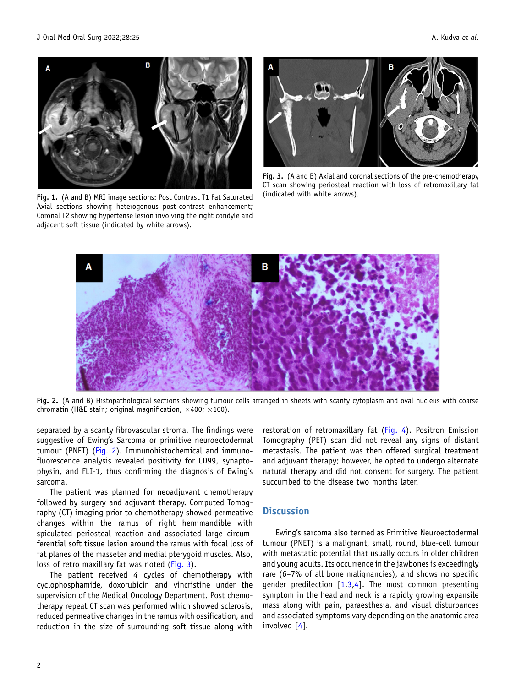<span id="page-1-0"></span>

Fig. 1. (A and B) MRI image sections: Post Contrast T1 Fat Saturated Axial sections showing heterogenous post-contrast enhancement; Coronal T2 showing hypertense lesion involving the right condyle and adjacent soft tissue (indicated by white arrows).



Fig. 3. (A and B) Axial and coronal sections of the pre-chemotherapy CT scan showing periosteal reaction with loss of retromaxillary fat (indicated with white arrows).



Fig. 2. (A and B) Histopathological sections showing tumour cells arranged in sheets with scanty cytoplasm and oval nucleus with coarse chromatin (H&E stain; original magnification,  $\times$ 400;  $\times$ 100).

separated by a scanty fibrovascular stroma. The findings were suggestive of Ewing's Sarcoma or primitive neuroectodermal tumour (PNET) (Fig. 2). Immunohistochemical and immunofluorescence analysis revealed positivity for CD99, synaptophysin, and FLI-1, thus confirming the diagnosis of Ewing's sarcoma.

The patient was planned for neoadjuvant chemotherapy followed by surgery and adjuvant therapy. Computed Tomography (CT) imaging prior to chemotherapy showed permeative changes within the ramus of right hemimandible with spiculated periosteal reaction and associated large circumferential soft tissue lesion around the ramus with focal loss of fat planes of the masseter and medial pterygoid muscles. Also, loss of retro maxillary fat was noted (Fig. 3).

The patient received 4 cycles of chemotherapy with cyclophosphamide, doxorubicin and vincristine under the supervision of the Medical Oncology Department. Post chemotherapy repeat CT scan was performed which showed sclerosis, reduced permeative changes in the ramus with ossification, and reduction in the size of surrounding soft tissue along with

restoration of retromaxillary fat [\(Fig. 4\)](#page-2-0). Positron Emission Tomography (PET) scan did not reveal any signs of distant metastasis. The patient was then offered surgical treatment and adjuvant therapy; however, he opted to undergo alternate natural therapy and did not consent for surgery. The patient succumbed to the disease two months later.

#### **Discussion**

Ewing's sarcoma also termed as Primitive Neuroectodermal tumour (PNET) is a malignant, small, round, blue-cell tumour with metastatic potential that usually occurs in older children and young adults. Its occurrence in the jawbones is exceedingly rare (6–7% of all bone malignancies), and shows no specific gender predilection  $[1,3,4]$  $[1,3,4]$ . The most common presenting symptom in the head and neck is a rapidly growing expansile mass along with pain, paraesthesia, and visual disturbances and associated symptoms vary depending on the anatomic area involved [\[4](#page-2-0)].